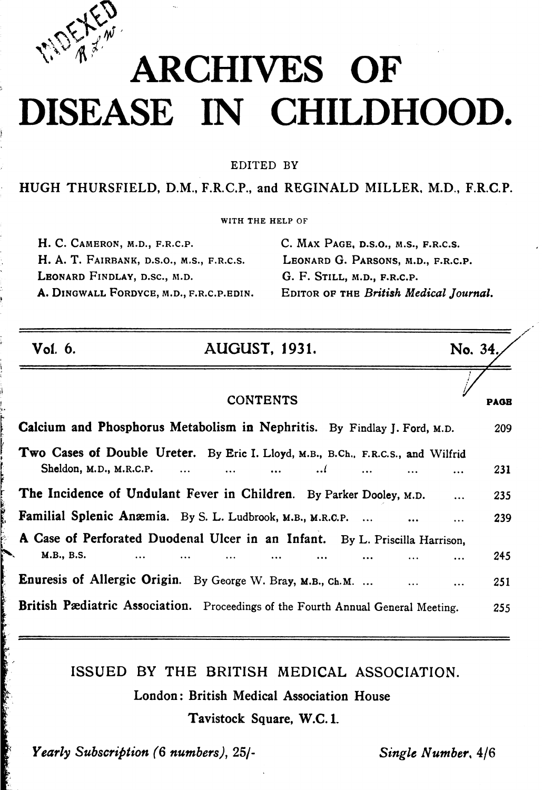

## **A R CHIVES** ARCHIVES OF DISEASE IN CHILDHOOD.

EDITED BY

HUGH THURSFIELD, D.M., F.R.C.P., and REGINALD MILLER, M.D., F.R.C.P.

WITH THE HELP OF

H. C. CAMERON, M.D., F.R.C.P. H. A. T. FAIRBANK, D.S.O., M.S., F.R.C.S. LEONARD FINDLAY, D.SC., M.D. A. DINGWALL FORDYCE, M.D., F.R.C.P.EDIN. C. MAX PAGE, D.S.O., M.S., F.R.C.S. LEONARD G. PARSONS, M.D., F.R.C.P. G. F. STILL, M.D., F.R.C.P. EDITOR OF THE British Medical Journal.

| Vol. 6.                 | <b>AUGUST, 1931.</b>                                                                                       | No. 34. |             |
|-------------------------|------------------------------------------------------------------------------------------------------------|---------|-------------|
|                         | <b>CONTENTS</b>                                                                                            |         | <b>PAGE</b> |
|                         | Calcium and Phosphorus Metabolism in Nephritis. By Findlay J. Ford, M.D.                                   |         | 209         |
| Sheldon, M.D., M.R.C.P. | Two Cases of Double Ureter. By Eric I. Lloyd, M.B., B.Ch., F.R.C.S., and Wilfrid<br>$\ddotsc$<br>$\ddotsc$ |         | 231         |
|                         | The Incidence of Undulant Fever in Children. By Parker Dooley, M.D.                                        |         | 235         |
|                         | Familial Splenic Anæmia. By S. L. Ludbrook, M.B., M.R.C.P.                                                 |         | 239         |
|                         | A Case of Perforated Duodenal Ulcer in an Infant. By L. Priscilla Harrison,                                |         |             |
| M.B., B.S.<br>$\cdots$  |                                                                                                            |         | 245         |
|                         | Enuresis of Allergic Origin. By George W. Bray, M.B., Ch.M.                                                |         | 251         |
|                         | British Pædiatric Association. Proceedings of the Fourth Annual General Meeting.                           |         | 255         |

ISSUED BY THE BRITISH MEDICAL ASSOCIATION.

London: British Medical Association House

Tavistock Square, W.C. 1.

Yearly Subscription (6 numbers), 25/-

Single Number, 4/6